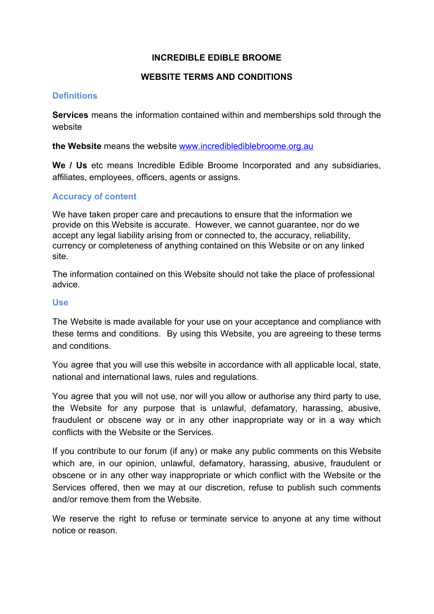## **INCREDIBLE EDIBLE BROOME**

# **WEBSITE TERMS AND CONDITIONS**

## **Definitions**

**Services** means the information contained within and memberships sold through the website

**the Website** means the website [www.incrediblediblebroome.org.au](http://www.incrediblediblebroome.org.au/)

**We / Us** etc means Incredible Edible Broome Incorporated and any subsidiaries, affiliates, employees, officers, agents or assigns.

## **Accuracy of content**

We have taken proper care and precautions to ensure that the information we provide on this Website is accurate. However, we cannot guarantee, nor do we accept any legal liability arising from or connected to, the accuracy, reliability, currency or completeness of anything contained on this Website or on any linked site.

The information contained on this Website should not take the place of professional advice.

#### **Use**

The Website is made available for your use on your acceptance and compliance with these terms and conditions. By using this Website, you are agreeing to these terms and conditions.

You agree that you will use this website in accordance with all applicable local, state, national and international laws, rules and regulations.

You agree that you will not use, nor will you allow or authorise any third party to use, the Website for any purpose that is unlawful, defamatory, harassing, abusive, fraudulent or obscene way or in any other inappropriate way or in a way which conflicts with the Website or the Services.

If you contribute to our forum (if any) or make any public comments on this Website which are, in our opinion, unlawful, defamatory, harassing, abusive, fraudulent or obscene or in any other way inappropriate or which conflict with the Website or the Services offered, then we may at our discretion, refuse to publish such comments and/or remove them from the Website.

We reserve the right to refuse or terminate service to anyone at any time without notice or reason.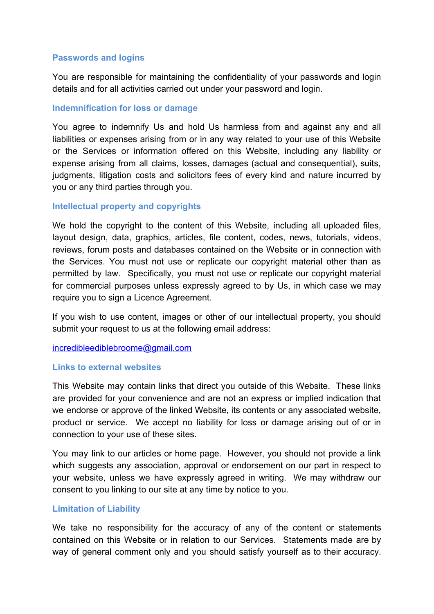## **Passwords and logins**

You are responsible for maintaining the confidentiality of your passwords and login details and for all activities carried out under your password and login.

### **Indemnification for loss or damage**

You agree to indemnify Us and hold Us harmless from and against any and all liabilities or expenses arising from or in any way related to your use of this Website or the Services or information offered on this Website, including any liability or expense arising from all claims, losses, damages (actual and consequential), suits, judgments, litigation costs and solicitors fees of every kind and nature incurred by you or any third parties through you.

#### **Intellectual property and copyrights**

We hold the copyright to the content of this Website, including all uploaded files, layout design, data, graphics, articles, file content, codes, news, tutorials, videos, reviews, forum posts and databases contained on the Website or in connection with the Services. You must not use or replicate our copyright material other than as permitted by law. Specifically, you must not use or replicate our copyright material for commercial purposes unless expressly agreed to by Us, in which case we may require you to sign a Licence Agreement.

If you wish to use content, images or other of our intellectual property, you should submit your request to us at the following email address:

#### [incredibleediblebroome@gmail.com](mailto:incredibleediblebroome@gmail.com)

#### **Links to external websites**

This Website may contain links that direct you outside of this Website. These links are provided for your convenience and are not an express or implied indication that we endorse or approve of the linked Website, its contents or any associated website, product or service. We accept no liability for loss or damage arising out of or in connection to your use of these sites.

You may link to our articles or home page. However, you should not provide a link which suggests any association, approval or endorsement on our part in respect to your website, unless we have expressly agreed in writing. We may withdraw our consent to you linking to our site at any time by notice to you.

#### **Limitation of Liability**

We take no responsibility for the accuracy of any of the content or statements contained on this Website or in relation to our Services. Statements made are by way of general comment only and you should satisfy yourself as to their accuracy.